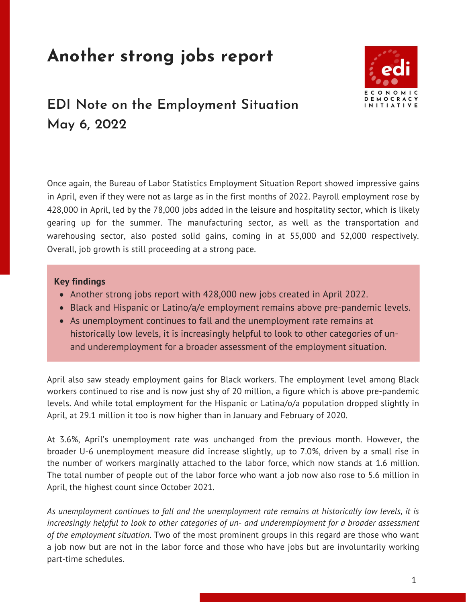# **Another strong jobs report**



## **EDI Note on the Employment Situation May 6, 2022**

Once again, the Bureau of Labor Statistics Employment Situation Report showed impressive gains in April, even if they were not as large as in the first months of 2022. Payroll employment rose by 428,000 in April, led by the 78,000 jobs added in the leisure and hospitality sector, which is likely gearing up for the summer. The manufacturing sector, as well as the transportation and warehousing sector, also posted solid gains, coming in at 55,000 and 52,000 respectively. Overall, job growth is still proceeding at a strong pace.

#### **Key findings**

- Another strong jobs report with 428,000 new jobs created in April 2022.
- Black and Hispanic or Latino/a/e employment remains above pre-pandemic levels.
- As unemployment continues to fall and the unemployment rate remains at historically low levels, it is increasingly helpful to look to other categories of unand underemployment for a broader assessment of the employment situation.

April also saw steady employment gains for Black workers. The employment level among Black workers continued to rise and is now just shy of 20 million, a figure which is above pre-pandemic levels. And while total employment for the Hispanic or Latina/o/a population dropped slightly in April, at 29.1 million it too is now higher than in January and February of 2020.

At 3.6%, April's unemployment rate was unchanged from the previous month. However, the broader U-6 unemployment measure did increase slightly, up to 7.0%, driven by a small rise in the number of workers marginally attached to the labor force, which now stands at 1.6 million. The total number of people out of the labor force who want a job now also rose to 5.6 million in April, the highest count since October 2021.

*As unemployment continues to fall and the unemployment rate remains at historically low levels, it is increasingly helpful to look to other categories of un- and underemployment for a broader assessment of the employment situation*. Two of the most prominent groups in this regard are those who want a job now but are not in the labor force and those who have jobs but are involuntarily working part-time schedules.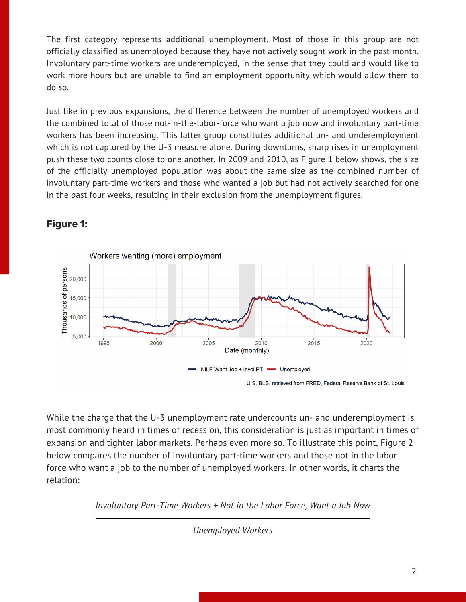The first category represents additional unemployment. Most of those in this group are not officially classified as unemployed because they have not actively sought work in the past month. Involuntary part-time workers are underemployed, in the sense that they could and would like to work more hours but are unable to find an employment opportunity which would allow them to do so.

Just like in previous expansions, the difference between the number of unemployed workers and the combined total of those not-in-the-labor-force who want a job now and involuntary part-time workers has been increasing. This latter group constitutes additional un- and underemployment which is not captured by the U-3 measure alone. During downturns, sharp rises in unemployment push these two counts close to one another. In 2009 and 2010, as Figure 1 below shows, the size of the officially unemployed population was about the same size as the combined number of involuntary part-time workers and those who wanted a job but had not actively searched for one in the past four weeks, resulting in their exclusion from the unemployment figures.



### **Figure 1:**

While the charge that the U-3 unemployment rate undercounts un- and underemployment is most commonly heard in times of recession, this consideration is just as important in times of expansion and tighter labor markets. Perhaps even more so. To illustrate this point, Figure 2 below compares the number of involuntary part-time workers and those not in the labor force who want a job to the number of unemployed workers. In other words, it charts the relation:

*Involuntary Part-Time Workers + Not in the Labor Force, Want a Job Now*

*Unemployed Workers*